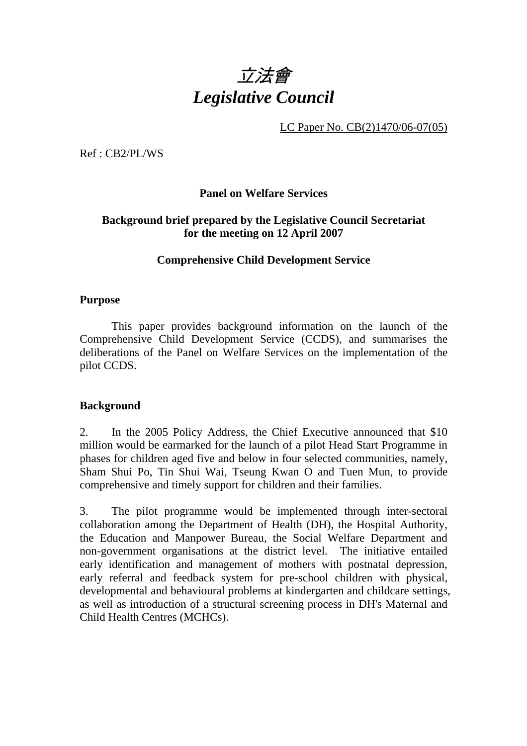

LC Paper No. CB(2)1470/06-07(05)

Ref : CB2/PL/WS

### **Panel on Welfare Services**

## **Background brief prepared by the Legislative Council Secretariat for the meeting on 12 April 2007**

### **Comprehensive Child Development Service**

#### **Purpose**

 This paper provides background information on the launch of the Comprehensive Child Development Service (CCDS), and summarises the deliberations of the Panel on Welfare Services on the implementation of the pilot CCDS.

#### **Background**

2. In the 2005 Policy Address, the Chief Executive announced that \$10 million would be earmarked for the launch of a pilot Head Start Programme in phases for children aged five and below in four selected communities, namely, Sham Shui Po, Tin Shui Wai, Tseung Kwan O and Tuen Mun, to provide comprehensive and timely support for children and their families.

3. The pilot programme would be implemented through inter-sectoral collaboration among the Department of Health (DH), the Hospital Authority, the Education and Manpower Bureau, the Social Welfare Department and non-government organisations at the district level. The initiative entailed early identification and management of mothers with postnatal depression, early referral and feedback system for pre-school children with physical, developmental and behavioural problems at kindergarten and childcare settings, as well as introduction of a structural screening process in DH's Maternal and Child Health Centres (MCHCs).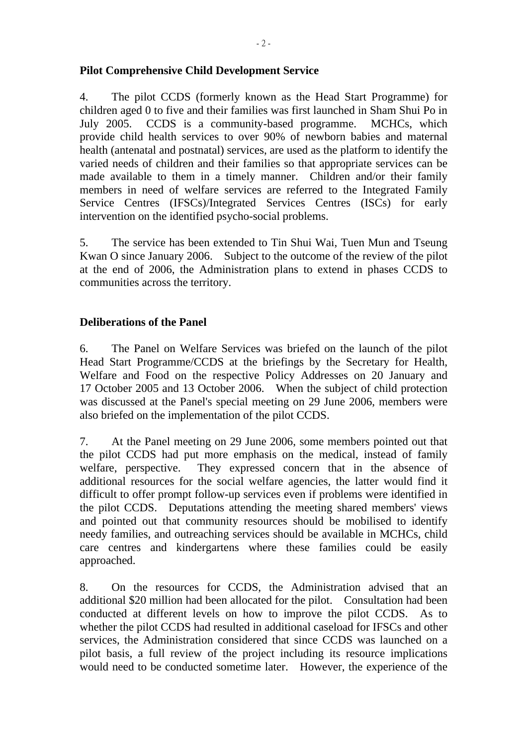## **Pilot Comprehensive Child Development Service**

4. The pilot CCDS (formerly known as the Head Start Programme) for children aged 0 to five and their families was first launched in Sham Shui Po in July 2005. CCDS is a community-based programme. MCHCs, which provide child health services to over 90% of newborn babies and maternal health (antenatal and postnatal) services, are used as the platform to identify the varied needs of children and their families so that appropriate services can be made available to them in a timely manner. Children and/or their family members in need of welfare services are referred to the Integrated Family Service Centres (IFSCs)/Integrated Services Centres (ISCs) for early intervention on the identified psycho-social problems.

5. The service has been extended to Tin Shui Wai, Tuen Mun and Tseung Kwan O since January 2006. Subject to the outcome of the review of the pilot at the end of 2006, the Administration plans to extend in phases CCDS to communities across the territory.

## **Deliberations of the Panel**

6. The Panel on Welfare Services was briefed on the launch of the pilot Head Start Programme/CCDS at the briefings by the Secretary for Health, Welfare and Food on the respective Policy Addresses on 20 January and 17 October 2005 and 13 October 2006. When the subject of child protection was discussed at the Panel's special meeting on 29 June 2006, members were also briefed on the implementation of the pilot CCDS.

7. At the Panel meeting on 29 June 2006, some members pointed out that the pilot CCDS had put more emphasis on the medical, instead of family welfare, perspective. They expressed concern that in the absence of additional resources for the social welfare agencies, the latter would find it difficult to offer prompt follow-up services even if problems were identified in the pilot CCDS. Deputations attending the meeting shared members' views and pointed out that community resources should be mobilised to identify needy families, and outreaching services should be available in MCHCs, child care centres and kindergartens where these families could be easily approached.

8. On the resources for CCDS, the Administration advised that an additional \$20 million had been allocated for the pilot. Consultation had been conducted at different levels on how to improve the pilot CCDS. As to whether the pilot CCDS had resulted in additional caseload for IFSCs and other services, the Administration considered that since CCDS was launched on a pilot basis, a full review of the project including its resource implications would need to be conducted sometime later. However, the experience of the